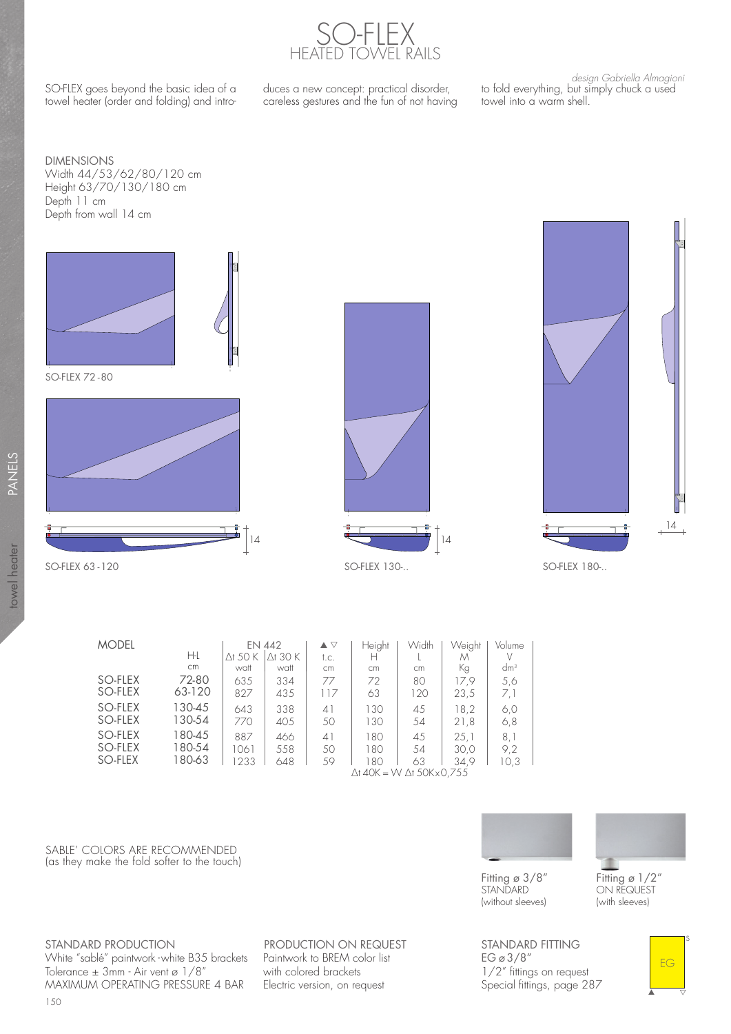

SO-FLEX goes beyond the basic idea of a towel heater (order and folding) and intro-

duces a new concept: practical disorder, careless gestures and the fun of not having

design Gabriella Almagioni to fold everything, but simply chuck a used towel into a warm shell.

DIMENSIONS Width 44/53/62/80/120 cm Height 63/70/130/180 cm Depth 11 cm Depth from wall 14 cm









towel heater PANELS

towel heater

PANELS

| <b>MODEL</b> |        |                                           | EN 442          |      | Height | Width | Weight | Volume |  |
|--------------|--------|-------------------------------------------|-----------------|------|--------|-------|--------|--------|--|
|              | Ηŀ     | Ơ 50 K                                    | $\Delta$ t 30 K | t.c. | н      |       | Μ      |        |  |
|              | cm     | watt                                      | watt            | cm   | cm     | cm    | Кg     | $dm^3$ |  |
| SO-FLEX      | 72-80  | 635                                       | 334             | 77   | 72     | 80    | 17.9   | 5,6    |  |
| SO-FLEX      | 63-120 | 827                                       | 435             | 117  | 63     | 120   | 23,5   | 7,1    |  |
| SO-FLEX      | 130-45 | 643                                       | 338             | 41   | 130    | 45    | 18.2   | 6,0    |  |
| SO-FLEX      | 130-54 | 770                                       | 405             | 50   | 130    | 54    | 21,8   | 6,8    |  |
| SO-FLEX      | 180-45 | 887                                       | 466             | 41   | 180    | 45    | 25.1   | 8,1    |  |
| SO-FLEX      | 180-54 | 1061                                      | 558             | 50   | 180    | 54    | 30.0   | 9.2    |  |
| SO-FLEX      | 180-63 | 1233                                      | 648             | 59   | 180    | 63    | 34.9   | 10.3   |  |
|              |        | $\Delta$ t 40K = W $\Delta$ t 50K x 0.755 |                 |      |        |       |        |        |  |

SABLE' COLORS ARE RECOMMENDED (as they make the fold softer to the touch)



▲

EG

s

 $\frac{1}{\sqrt{2}}$ 

Fitting ø 3/8" **STANDARD** (without sleeves)

Fitting ø 1/2" ON REQUEST (with sleeves)

STANDARD FITTING EG ø 3/8" 1/2" fittings on request Special fittings, page 287

STANDARD PRODUCTION White "sablé" paintwork - white B35 brackets Tolerance ± 3mm - Air vent ø 1/8" MAXIMUM OPERATING PRESSURE 4 BAR

PRODUCTION ON REQUEST Paintwork to BREM color list with colored brackets Electric version, on request